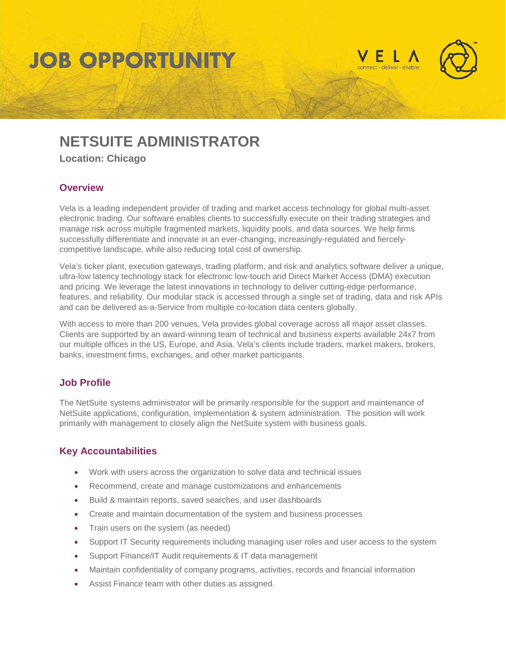# **JOB OPPORTUNITY**





# **NETSUITE ADMINISTRATOR**

**Location: Chicago**

#### **Overview**

Vela is a leading independent provider of trading and market access technology for global multi-asset electronic trading. Our software enables clients to successfully execute on their trading strategies and manage risk across multiple fragmented markets, liquidity pools, and data sources. We help firms successfully differentiate and innovate in an ever-changing, increasingly-regulated and fiercelycompetitive landscape, while also reducing total cost of ownership.

Vela's ticker plant, execution gateways, trading platform, and risk and analytics software deliver a unique, ultra-low latency technology stack for electronic low-touch and Direct Market Access (DMA) execution and pricing. We leverage the latest innovations in technology to deliver cutting-edge performance, features, and reliability. Our modular stack is accessed through a single set of trading, data and risk APIs and can be delivered as-a-Service from multiple co-location data centers globally.

With access to more than 200 venues, Vela provides global coverage across all major asset classes. Clients are supported by an award-winning team of technical and business experts available 24x7 from our multiple offices in the US, Europe, and Asia. Vela's clients include traders, market makers, brokers, banks, investment firms, exchanges, and other market participants.

### **Job Profile**

The NetSuite systems administrator will be primarily responsible for the support and maintenance of NetSuite applications, configuration, implementation & system administration. The position will work primarily with management to closely align the NetSuite system with business goals.

# **Key Accountabilities**

- Work with users across the organization to solve data and technical issues
- Recommend, create and manage customizations and enhancements
- Build & maintain reports, saved searches, and user dashboards
- Create and maintain documentation of the system and business processes
- Train users on the system (as needed)
- Support IT Security requirements including managing user roles and user access to the system
- Support Finance/IT Audit requirements & IT data management
- Maintain confidentiality of company programs, activities, records and financial information
- Assist Finance team with other duties as assigned.